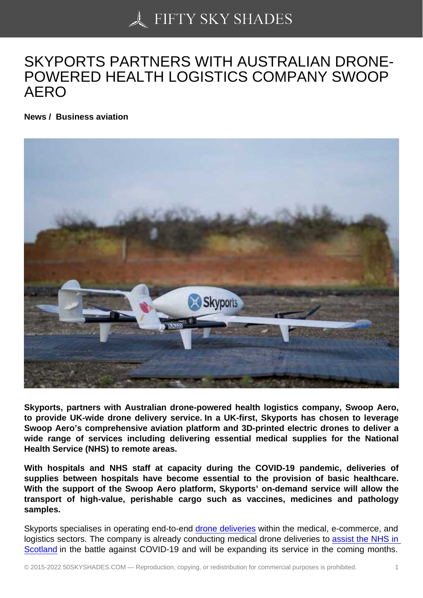## [SKYPORTS PARTNER](https://50skyshades.com)S WITH AUSTRALIAN DRONE-POWERED HEALTH LOGISTICS COMPANY SWOOP AERO

News / Business aviation

Skyports, partners with Australian drone-powered health logistics company, Swoop Aero, to provide UK-wide drone delivery service. In a UK-first, Skyports has chosen to leverage Swoop Aero's comprehensive aviation platform and 3D-printed electric drones to deliver a wide range of services including delivering essential medical supplies for the National Health Service (NHS) to remote areas.

With hospitals and NHS staff at capacity during the COVID-19 pandemic, deliveries of supplies between hospitals have become essential to the provision of basic healthcare. With the support of the Swoop Aero platform, Skyports' on-demand service will allow the transport of high-value, perishable cargo such as vaccines, medicines and pathology samples.

Skyports specialises in operating end-to-end drone deliveries within the medical, e-commerce, and logistics sectors. The company is already conducting medical drone deliveries to assist the NHS in Scotland in the battle against COVID-19 and will be expanding its service in the coming months.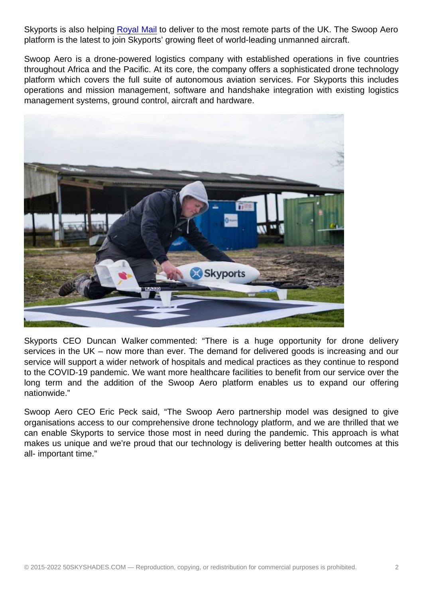platform is the latest to join Skyports' growing fleet of world-leading unmanned aircraft.

Swoop Aero is a drone-powered logistics company with established operations in five countries throughout Africa and th[e Pacific. A](https://skyports.net/2020/12/royal-mail-and-skyports-partner-on-drone-delivery/)t its core, the company offers a sophisticated drone technology platform which covers the full suite of autonomous aviation services. For Skyports this includes operations and mission management, software and handshake integration with existing logistics management systems, ground control, aircraft and hardware.

Skyports CEO Duncan Walker commented: "There is a huge opportunity for drone delivery services in the UK – now more than ever. The demand for delivered goods is increasing and our service will support a wider network of hospitals and medical practices as they continue to respond to the COVID-19 pandemic. We want more healthcare facilities to benefit from our service over the long term and the addition of the Swoop Aero platform enables us to expand our offering nationwide."

Swoop Aero CEO Eric Peck said, "The Swoop Aero partnership model was designed to give organisations access to our comprehensive drone technology platform, and we are thrilled that we can enable Skyports to service those most in need during the pandemic. This approach is what makes us unique and we're proud that our technology is delivering better health outcomes at this all- important time."